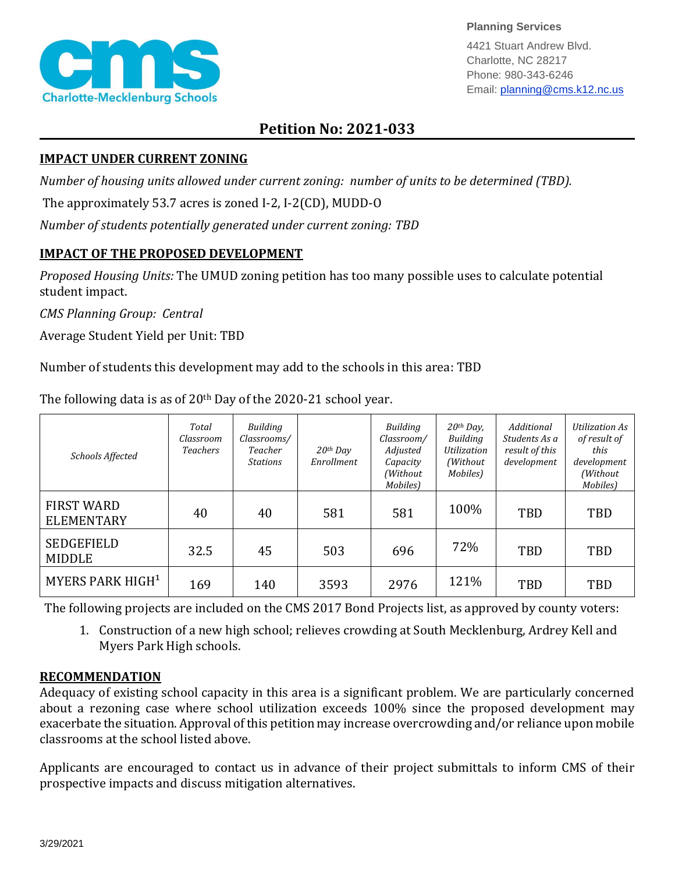

**Planning Services**

4421 Stuart Andrew Blvd. Charlotte, NC 28217 Phone: 980-343-6246 Email: planning@cms.k12.nc.us

## **Petition No: 2021-033**

## **IMPACT UNDER CURRENT ZONING**

*Number of housing units allowed under current zoning: number of units to be determined (TBD).*

The approximately 53.7 acres is zoned I-2, I-2(CD), MUDD-O

*Number of students potentially generated under current zoning: TBD*

## **IMPACT OF THE PROPOSED DEVELOPMENT**

*Proposed Housing Units:* The UMUD zoning petition has too many possible uses to calculate potential student impact.

*CMS Planning Group: Central*

Average Student Yield per Unit: TBD

Number of students this development may add to the schools in this area: TBD

| Schools Affected                       | Total<br>Classroom<br><b>Teachers</b> | Building<br>Classrooms/<br>Teacher<br><b>Stations</b> | $20$ <sup>th</sup> Day<br>Enrollment | <b>Building</b><br>Classroom/<br>Adjusted<br>Capacity<br>(Without)<br>Mobiles) | $20th$ Day,<br><b>Building</b><br><b>Utilization</b><br>(Without<br>Mobiles) | Additional<br>Students As a<br>result of this<br>development | Utilization As<br>of result of<br>this<br>development<br>(Without<br>Mobiles) |
|----------------------------------------|---------------------------------------|-------------------------------------------------------|--------------------------------------|--------------------------------------------------------------------------------|------------------------------------------------------------------------------|--------------------------------------------------------------|-------------------------------------------------------------------------------|
| <b>FIRST WARD</b><br><b>ELEMENTARY</b> | 40                                    | 40                                                    | 581                                  | 581                                                                            | 100%                                                                         | TBD                                                          | TBD                                                                           |
| <b>SEDGEFIELD</b><br><b>MIDDLE</b>     | 32.5                                  | 45                                                    | 503                                  | 696                                                                            | 72%                                                                          | TBD                                                          | TBD                                                                           |
| MYERS PARK HIGH <sup>1</sup>           | 169                                   | 140                                                   | 3593                                 | 2976                                                                           | 121%                                                                         | TBD                                                          | TBD                                                                           |

The following data is as of  $20<sup>th</sup>$  Day of the 2020-21 school year.

The following projects are included on the CMS 2017 Bond Projects list, as approved by county voters:

1. Construction of a new high school; relieves crowding at South Mecklenburg, Ardrey Kell and Myers Park High schools.

## **RECOMMENDATION**

Adequacy of existing school capacity in this area is a significant problem. We are particularly concerned about a rezoning case where school utilization exceeds 100% since the proposed development may exacerbate the situation. Approval of this petition may increase overcrowding and/or reliance upon mobile classrooms at the school listed above.

Applicants are encouraged to contact us in advance of their project submittals to inform CMS of their prospective impacts and discuss mitigation alternatives.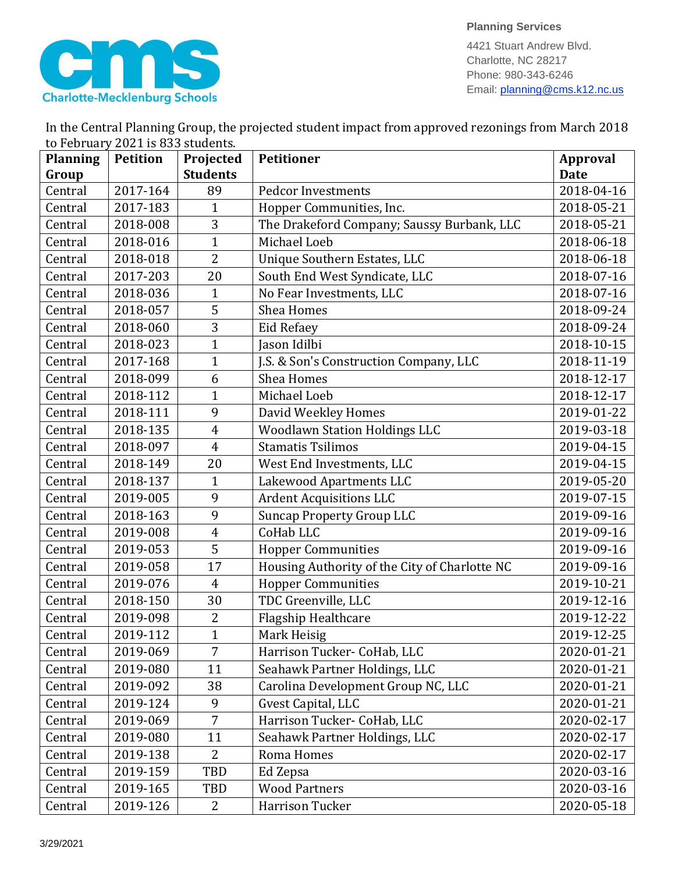

**Planning Services**

4421 Stuart Andrew Blvd. Charlotte, NC 28217 Phone: 980-343-6246 Email: planning@cms.k12.nc.us

| In the Central Planning Group, the projected student impact from approved rezonings from March 2018 |  |
|-----------------------------------------------------------------------------------------------------|--|
| to February 2021 is 833 students.                                                                   |  |

| <b>Planning</b> | <b>Petition</b> | Projected       | <b>Petitioner</b>                             | <b>Approval</b> |
|-----------------|-----------------|-----------------|-----------------------------------------------|-----------------|
| Group           |                 | <b>Students</b> |                                               | <b>Date</b>     |
| Central         | 2017-164        | 89              | <b>Pedcor Investments</b>                     | 2018-04-16      |
| Central         | 2017-183        | $\mathbf{1}$    | Hopper Communities, Inc.                      | 2018-05-21      |
| Central         | 2018-008        | 3               | The Drakeford Company; Saussy Burbank, LLC    | 2018-05-21      |
| Central         | 2018-016        | $\mathbf{1}$    | Michael Loeb                                  | 2018-06-18      |
| Central         | 2018-018        | $\overline{2}$  | Unique Southern Estates, LLC                  | 2018-06-18      |
| Central         | 2017-203        | 20              | South End West Syndicate, LLC                 | 2018-07-16      |
| Central         | 2018-036        | $\mathbf{1}$    | No Fear Investments, LLC                      | 2018-07-16      |
| Central         | 2018-057        | 5               | Shea Homes                                    | 2018-09-24      |
| Central         | 2018-060        | 3               | Eid Refaey                                    | 2018-09-24      |
| Central         | 2018-023        | $\mathbf{1}$    | Jason Idilbi                                  | 2018-10-15      |
| Central         | 2017-168        | $\mathbf{1}$    | J.S. & Son's Construction Company, LLC        | 2018-11-19      |
| Central         | 2018-099        | 6               | Shea Homes                                    | 2018-12-17      |
| Central         | 2018-112        | $\mathbf{1}$    | Michael Loeb                                  | 2018-12-17      |
| Central         | 2018-111        | 9               | David Weekley Homes                           | 2019-01-22      |
| Central         | 2018-135        | $\overline{4}$  | <b>Woodlawn Station Holdings LLC</b>          | 2019-03-18      |
| Central         | 2018-097        | $\overline{4}$  | <b>Stamatis Tsilimos</b>                      | 2019-04-15      |
| Central         | 2018-149        | 20              | West End Investments, LLC                     | 2019-04-15      |
| Central         | 2018-137        | $\mathbf{1}$    | Lakewood Apartments LLC                       | 2019-05-20      |
| Central         | 2019-005        | 9               | <b>Ardent Acquisitions LLC</b>                | 2019-07-15      |
| Central         | 2018-163        | 9               | <b>Suncap Property Group LLC</b>              | 2019-09-16      |
| Central         | 2019-008        | $\overline{4}$  | CoHab LLC                                     | 2019-09-16      |
| Central         | 2019-053        | 5               | <b>Hopper Communities</b>                     | 2019-09-16      |
| Central         | 2019-058        | 17              | Housing Authority of the City of Charlotte NC | 2019-09-16      |
| Central         | 2019-076        | $\overline{4}$  | <b>Hopper Communities</b>                     | 2019-10-21      |
| Central         | 2018-150        | 30              | TDC Greenville, LLC                           | 2019-12-16      |
| Central         | 2019-098        | 2               | Flagship Healthcare                           | 2019-12-22      |
| Central         | 2019-112        | $\mathbf{1}$    | Mark Heisig                                   | 2019-12-25      |
| Central         | 2019-069        | 7               | Harrison Tucker- CoHab, LLC                   | 2020-01-21      |
| Central         | 2019-080        | 11              | Seahawk Partner Holdings, LLC                 | 2020-01-21      |
| Central         | 2019-092        | 38              | Carolina Development Group NC, LLC            | 2020-01-21      |
| Central         | 2019-124        | 9               | Gvest Capital, LLC                            | 2020-01-21      |
| Central         | 2019-069        | 7               | Harrison Tucker- CoHab, LLC                   | 2020-02-17      |
| Central         | 2019-080        | 11              | Seahawk Partner Holdings, LLC                 | 2020-02-17      |
| Central         | 2019-138        | $\overline{2}$  | Roma Homes                                    | 2020-02-17      |
| Central         | 2019-159        | TBD             | Ed Zepsa                                      | 2020-03-16      |
| Central         | 2019-165        | TBD             | <b>Wood Partners</b>                          | 2020-03-16      |
| Central         | 2019-126        | 2               | Harrison Tucker                               | 2020-05-18      |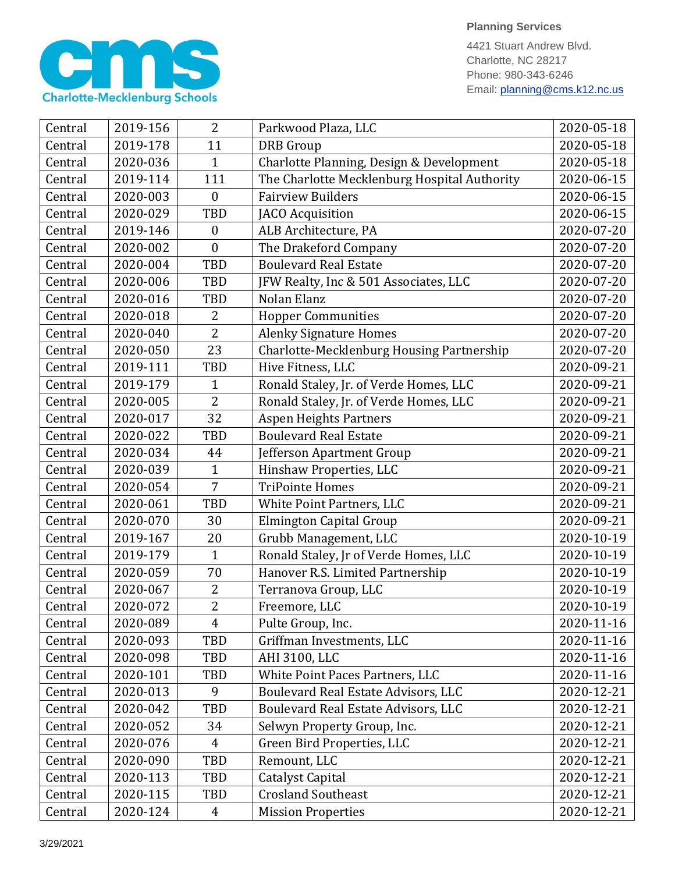

4421 Stuart Andrew Blvd. Charlotte, NC 28217 Phone: 980-343-6246 Email: planning@cms.k12.nc.us

| Central | 2019-156 | $\overline{2}$   | Parkwood Plaza, LLC                          | 2020-05-18 |
|---------|----------|------------------|----------------------------------------------|------------|
| Central | 2019-178 | 11               | <b>DRB</b> Group                             | 2020-05-18 |
| Central | 2020-036 | 1                | Charlotte Planning, Design & Development     | 2020-05-18 |
| Central | 2019-114 | 111              | The Charlotte Mecklenburg Hospital Authority | 2020-06-15 |
| Central | 2020-003 | $\theta$         | <b>Fairview Builders</b>                     | 2020-06-15 |
| Central | 2020-029 | <b>TBD</b>       | <b>JACO</b> Acquisition                      | 2020-06-15 |
| Central | 2019-146 | $\boldsymbol{0}$ | ALB Architecture, PA                         | 2020-07-20 |
| Central | 2020-002 | $\boldsymbol{0}$ | The Drakeford Company                        | 2020-07-20 |
| Central | 2020-004 | <b>TBD</b>       | <b>Boulevard Real Estate</b>                 | 2020-07-20 |
| Central | 2020-006 | TBD              | JFW Realty, Inc & 501 Associates, LLC        | 2020-07-20 |
| Central | 2020-016 | <b>TBD</b>       | Nolan Elanz                                  | 2020-07-20 |
| Central | 2020-018 | 2                | <b>Hopper Communities</b>                    | 2020-07-20 |
| Central | 2020-040 | $\overline{2}$   | <b>Alenky Signature Homes</b>                | 2020-07-20 |
| Central | 2020-050 | 23               | Charlotte-Mecklenburg Housing Partnership    | 2020-07-20 |
| Central | 2019-111 | TBD              | Hive Fitness, LLC                            | 2020-09-21 |
| Central | 2019-179 | 1                | Ronald Staley, Jr. of Verde Homes, LLC       | 2020-09-21 |
| Central | 2020-005 | $\overline{2}$   | Ronald Staley, Jr. of Verde Homes, LLC       | 2020-09-21 |
| Central | 2020-017 | 32               | <b>Aspen Heights Partners</b>                | 2020-09-21 |
| Central | 2020-022 | <b>TBD</b>       | <b>Boulevard Real Estate</b>                 | 2020-09-21 |
| Central | 2020-034 | 44               | Jefferson Apartment Group                    | 2020-09-21 |
| Central | 2020-039 | 1                | Hinshaw Properties, LLC                      | 2020-09-21 |
| Central | 2020-054 | $\overline{7}$   | <b>TriPointe Homes</b>                       | 2020-09-21 |
| Central | 2020-061 | <b>TBD</b>       | White Point Partners, LLC                    | 2020-09-21 |
| Central | 2020-070 | 30               | Elmington Capital Group                      | 2020-09-21 |
| Central | 2019-167 | 20               | Grubb Management, LLC                        | 2020-10-19 |
| Central | 2019-179 | $\mathbf{1}$     | Ronald Staley, Jr of Verde Homes, LLC        | 2020-10-19 |
| Central | 2020-059 | 70               | Hanover R.S. Limited Partnership             | 2020-10-19 |
| Central | 2020-067 | 2                | Terranova Group, LLC                         | 2020-10-19 |
| Central | 2020-072 | $\overline{2}$   | Freemore, LLC                                | 2020-10-19 |
| Central | 2020-089 | $\overline{4}$   | Pulte Group, Inc.                            | 2020-11-16 |
| Central | 2020-093 | TBD              | Griffman Investments, LLC                    | 2020-11-16 |
| Central | 2020-098 | TBD              | AHI 3100, LLC                                | 2020-11-16 |
| Central | 2020-101 | TBD              | White Point Paces Partners, LLC              | 2020-11-16 |
| Central | 2020-013 | 9                | Boulevard Real Estate Advisors, LLC          | 2020-12-21 |
| Central | 2020-042 | TBD              | Boulevard Real Estate Advisors, LLC          | 2020-12-21 |
| Central | 2020-052 | 34               | Selwyn Property Group, Inc.                  | 2020-12-21 |
| Central | 2020-076 | $\overline{4}$   | Green Bird Properties, LLC                   | 2020-12-21 |
| Central | 2020-090 | TBD              | Remount, LLC                                 | 2020-12-21 |
| Central | 2020-113 | TBD              | Catalyst Capital                             | 2020-12-21 |
| Central | 2020-115 | TBD              | <b>Crosland Southeast</b>                    | 2020-12-21 |
| Central | 2020-124 | $\overline{4}$   | <b>Mission Properties</b>                    | 2020-12-21 |